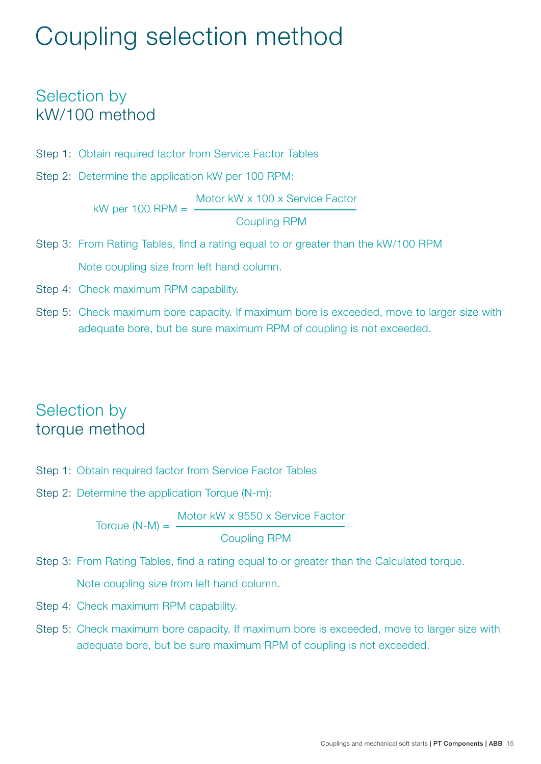## Coupling selection method

## Selection by kW/100 method

- Step 1: Obtain required factor from Service Factor Tables
- Step 2: Determine the application kW per 100 RPM:

kW per 100 RPM = Motor kW x 100 x Service Factor Coupling RPM

- Step 3: From Rating Tables, find a rating equal to or greater than the kW/100 RPM Note coupling size from left hand column.
- Step 4: Check maximum RPM capability.
- Step 5: Check maximum bore capacity. If maximum bore is exceeded, move to larger size with adequate bore, but be sure maximum RPM of coupling is not exceeded.

## Selection by torque method

- Step 1: Obtain required factor from Service Factor Tables
- Step 2: Determine the application Torque (N-m):

 Torque (N-M) = Motor kW x 9550 x Service Factor

Coupling RPM

Step 3: From Rating Tables, find a rating equal to or greater than the Calculated torque.

Note coupling size from left hand column.

- Step 4: Check maximum RPM capability.
- Step 5: Check maximum bore capacity. If maximum bore is exceeded, move to larger size with adequate bore, but be sure maximum RPM of coupling is not exceeded.